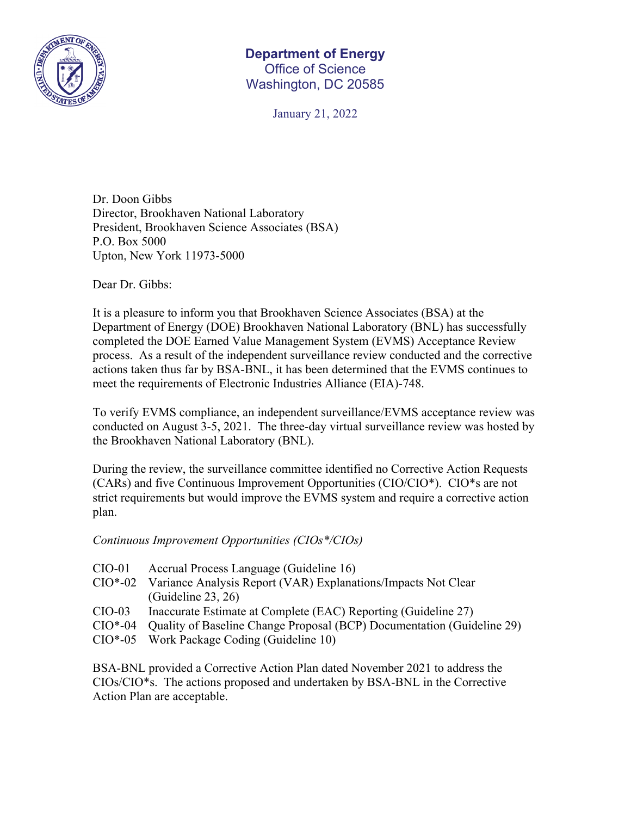

## **Department of Energy**  Office of Science Washington, DC 20585

January 21, 2022

Dr. Doon Gibbs Director, Brookhaven National Laboratory President, Brookhaven Science Associates (BSA) P.O. Box 5000 Upton, New York 11973-5000

Dear Dr. Gibbs:

It is a pleasure to inform you that Brookhaven Science Associates (BSA) at the Department of Energy (DOE) Brookhaven National Laboratory (BNL) has successfully completed the DOE Earned Value Management System (EVMS) Acceptance Review process. As a result of the independent surveillance review conducted and the corrective actions taken thus far by BSA-BNL, it has been determined that the EVMS continues to meet the requirements of Electronic Industries Alliance (EIA)-748.

To verify EVMS compliance, an independent surveillance/EVMS acceptance review was conducted on August 3-5, 2021. The three-day virtual surveillance review was hosted by the Brookhaven National Laboratory (BNL).

During the review, the surveillance committee identified no Corrective Action Requests (CARs) and five Continuous Improvement Opportunities (CIO/CIO\*). CIO\*s are not strict requirements but would improve the EVMS system and require a corrective action plan.

## *Continuous Improvement Opportunities (CIOs\*/CIOs)*

| Accrual Process Language (Guideline 16)                                        |
|--------------------------------------------------------------------------------|
| Variance Analysis Report (VAR) Explanations/Impacts Not Clear                  |
| (Guideline 23, 26)                                                             |
| Inaccurate Estimate at Complete (EAC) Reporting (Guideline 27)                 |
| CIO*-04 Quality of Baseline Change Proposal (BCP) Documentation (Guideline 29) |
|                                                                                |

CIO\*-05 Work Package Coding (Guideline 10)

BSA-BNL provided a Corrective Action Plan dated November 2021 to address the CIOs/CIO\*s. The actions proposed and undertaken by BSA-BNL in the Corrective Action Plan are acceptable.